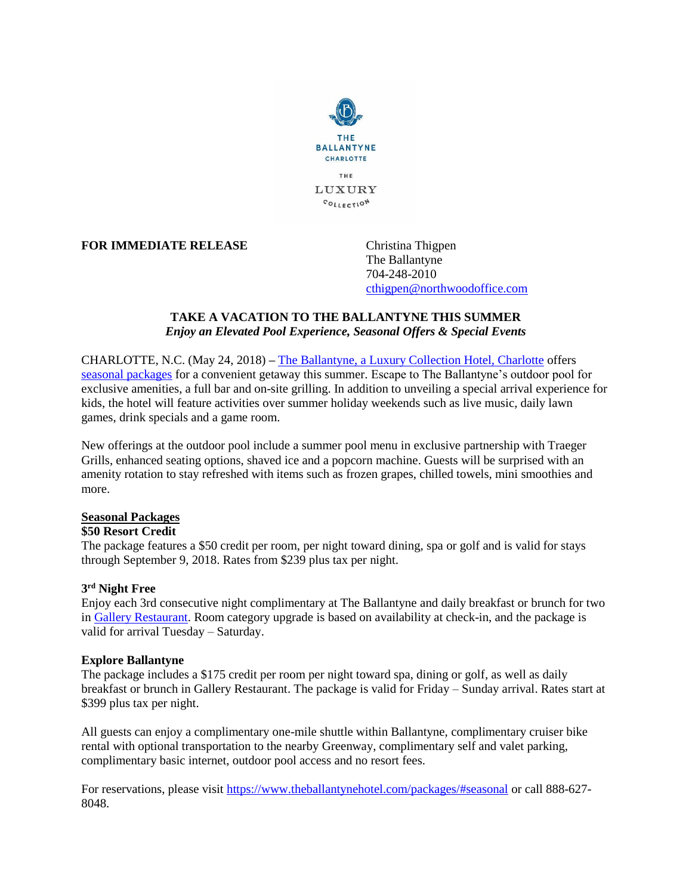

**FOR IMMEDIATE RELEASE** Christina Thigpen

The Ballantyne 704-248-2010 [cthigpen@northwoodoffice.com](mailto:cthigpen@northwoodoffice.com)

## **TAKE A VACATION TO THE BALLANTYNE THIS SUMMER** *Enjoy an Elevated Pool Experience, Seasonal Offers & Special Events*

CHARLOTTE, N.C. (May 24, 2018) **–** [The Ballantyne, a Luxury Collection Hotel, Charlotte](http://www.theballantynehotel.com/) offers [seasonal packages](http://www.theballantynehotel.com/summerholidays/) for a convenient getaway this summer. Escape to The Ballantyne's outdoor pool for exclusive amenities, a full bar and on-site grilling. In addition to unveiling a special arrival experience for kids, the hotel will feature activities over summer holiday weekends such as live music, daily lawn games, drink specials and a game room.

New offerings at the outdoor pool include a summer pool menu in exclusive partnership with Traeger Grills, enhanced seating options, shaved ice and a popcorn machine. Guests will be surprised with an amenity rotation to stay refreshed with items such as frozen grapes, chilled towels, mini smoothies and more.

## **Seasonal Packages**

## **\$50 Resort Credit**

The package features a \$50 credit per room, per night toward dining, spa or golf and is valid for stays through September 9, 2018. Rates from \$239 plus tax per night.

# **3 rd Night Free**

Enjoy each 3rd consecutive night complimentary at The Ballantyne and daily breakfast or brunch for two in [Gallery Restaurant.](http://www.gallery-restaurant.com/) Room category upgrade is based on availability at check-in, and the package is valid for arrival Tuesday – Saturday.

## **Explore Ballantyne**

The package includes a \$175 credit per room per night toward spa, dining or golf, as well as daily breakfast or brunch in Gallery Restaurant. The package is valid for Friday – Sunday arrival. Rates start at \$399 plus tax per night.

All guests can enjoy a complimentary one-mile shuttle within Ballantyne, complimentary cruiser bike rental with optional transportation to the nearby Greenway, complimentary self and valet parking, complimentary basic internet, outdoor pool access and no resort fees.

For reservations, please visit<https://www.theballantynehotel.com/packages/#seasonal> or call 888-627- 8048.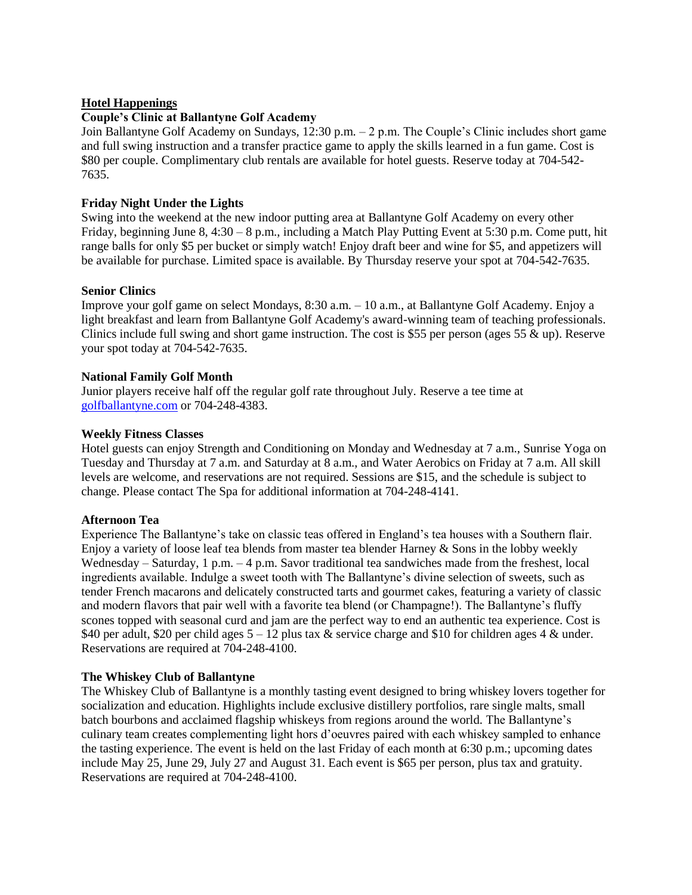## **Hotel Happenings**

## **Couple's Clinic at Ballantyne Golf Academy**

Join Ballantyne Golf Academy on Sundays, 12:30 p.m. – 2 p.m. The Couple's Clinic includes short game and full swing instruction and a transfer practice game to apply the skills learned in a fun game. Cost is \$80 per couple. Complimentary club rentals are available for hotel guests. Reserve today at 704-542- 7635.

## **Friday Night Under the Lights**

Swing into the weekend at the new indoor putting area at Ballantyne Golf Academy on every other Friday, beginning June 8, 4:30 – 8 p.m., including a Match Play Putting Event at 5:30 p.m. Come putt, hit range balls for only \$5 per bucket or simply watch! Enjoy draft beer and wine for \$5, and appetizers will be available for purchase. Limited space is available. By Thursday reserve your spot at 704-542-7635.

## **Senior Clinics**

Improve your golf game on select Mondays, 8:30 a.m. – 10 a.m., at Ballantyne Golf Academy. Enjoy a light breakfast and learn from Ballantyne Golf Academy's award-winning team of teaching professionals. Clinics include full swing and short game instruction. The cost is \$55 per person (ages 55  $\&$  up). Reserve your spot today at 704-542-7635.

## **National Family Golf Month**

Junior players receive half off the regular golf rate throughout July. Reserve a tee time at [golfballantyne.com](http://www.golfballantyne.com/) or 704-248-4383.

## **Weekly Fitness Classes**

Hotel guests can enjoy Strength and Conditioning on Monday and Wednesday at 7 a.m., Sunrise Yoga on Tuesday and Thursday at 7 a.m. and Saturday at 8 a.m., and Water Aerobics on Friday at 7 a.m. All skill levels are welcome, and reservations are not required. Sessions are \$15, and the schedule is subject to change. Please contact The Spa for additional information at 704-248-4141.

## **Afternoon Tea**

Experience The Ballantyne's take on classic teas offered in England's tea houses with a Southern flair. Enjoy a variety of loose leaf tea blends from master tea blender Harney & Sons in the lobby weekly Wednesday – Saturday, 1 p.m. – 4 p.m. Savor traditional tea sandwiches made from the freshest, local ingredients available. Indulge a sweet tooth with The Ballantyne's divine selection of sweets, such as tender French macarons and delicately constructed tarts and gourmet cakes, featuring a variety of classic and modern flavors that pair well with a favorite tea blend (or Champagne!). The Ballantyne's fluffy scones topped with seasonal curd and jam are the perfect way to end an authentic tea experience. Cost is \$40 per adult, \$20 per child ages 5 – 12 plus tax & service charge and \$10 for children ages 4 & under. Reservations are required at 704-248-4100.

# **The Whiskey Club of Ballantyne**

The Whiskey Club of Ballantyne is a monthly tasting event designed to bring whiskey lovers together for socialization and education. Highlights include exclusive distillery portfolios, rare single malts, small batch bourbons and acclaimed flagship whiskeys from regions around the world. The Ballantyne's culinary team creates complementing light hors d'oeuvres paired with each whiskey sampled to enhance the tasting experience. The event is held on the last Friday of each month at 6:30 p.m.; upcoming dates include May 25, June 29, July 27 and August 31. Each event is \$65 per person, plus tax and gratuity. Reservations are required at 704-248-4100.